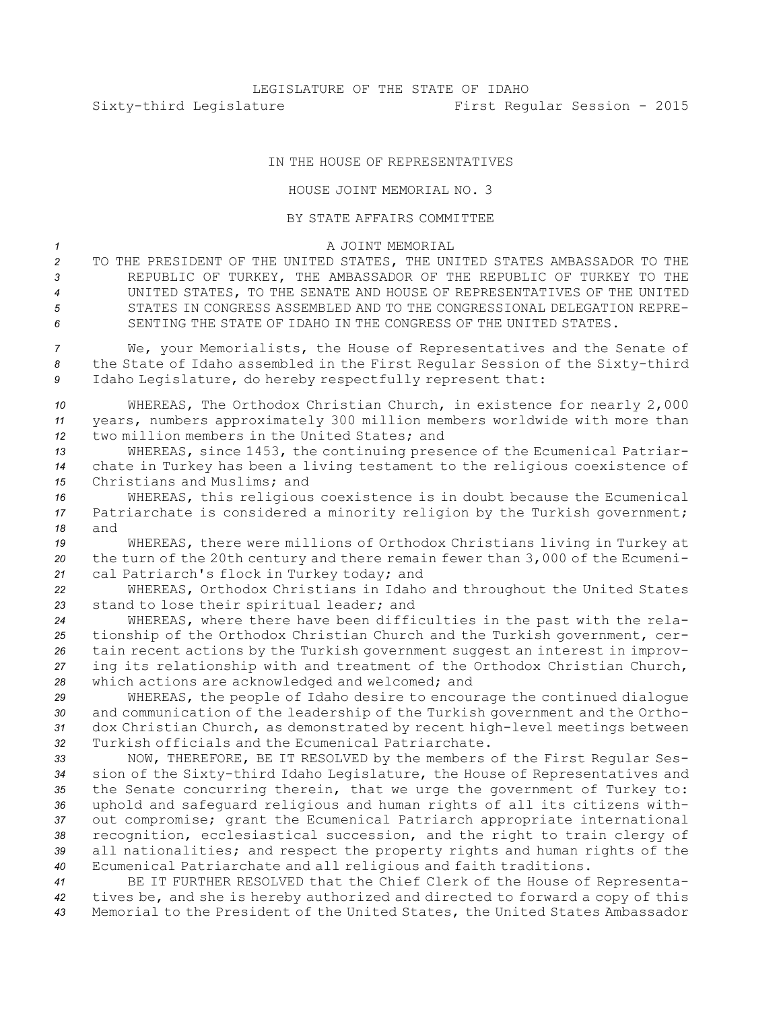## IN THE HOUSE OF REPRESENTATIVES

## HOUSE JOINT MEMORIAL NO. 3

## BY STATE AFFAIRS COMMITTEE

## *1* A JOINT MEMORIAL

 TO THE PRESIDENT OF THE UNITED STATES, THE UNITED STATES AMBASSADOR TO THE REPUBLIC OF TURKEY, THE AMBASSADOR OF THE REPUBLIC OF TURKEY TO THE UNITED STATES, TO THE SENATE AND HOUSE OF REPRESENTATIVES OF THE UNITED STATES IN CONGRESS ASSEMBLED AND TO THE CONGRESSIONAL DELEGATION REPRE-SENTING THE STATE OF IDAHO IN THE CONGRESS OF THE UNITED STATES.

*<sup>7</sup>* We, your Memorialists, the House of Representatives and the Senate of *<sup>8</sup>* the State of Idaho assembled in the First Regular Session of the Sixty-third *<sup>9</sup>* Idaho Legislature, do hereby respectfully represent that:

*<sup>10</sup>* WHEREAS, The Orthodox Christian Church, in existence for nearly 2,000 *<sup>11</sup>* years, numbers approximately 300 million members worldwide with more than *12* two million members in the United States; and

*<sup>13</sup>* WHEREAS, since 1453, the continuing presence of the Ecumenical Patriar-*<sup>14</sup>* chate in Turkey has been <sup>a</sup> living testament to the religious coexistence of *15* Christians and Muslims; and

*<sup>16</sup>* WHEREAS, this religious coexistence is in doubt because the Ecumenical *<sup>17</sup>* Patriarchate is considered <sup>a</sup> minority religion by the Turkish government; *18* and

*<sup>19</sup>* WHEREAS, there were millions of Orthodox Christians living in Turkey at *<sup>20</sup>* the turn of the 20th century and there remain fewer than 3,000 of the Ecumeni-*<sup>21</sup>* cal Patriarch's flock in Turkey today; and

*<sup>22</sup>* WHEREAS, Orthodox Christians in Idaho and throughout the United States *<sup>23</sup>* stand to lose their spiritual leader; and

 WHEREAS, where there have been difficulties in the past with the rela- tionship of the Orthodox Christian Church and the Turkish government, cer- tain recent actions by the Turkish government suggest an interest in improv- ing its relationship with and treatment of the Orthodox Christian Church, which actions are acknowledged and welcomed; and

 WHEREAS, the people of Idaho desire to encourage the continued dialogue and communication of the leadership of the Turkish government and the Ortho- dox Christian Church, as demonstrated by recent high-level meetings between Turkish officials and the Ecumenical Patriarchate.

 NOW, THEREFORE, BE IT RESOLVED by the members of the First Regular Ses- sion of the Sixty-third Idaho Legislature, the House of Representatives and the Senate concurring therein, that we urge the government of Turkey to: uphold and safeguard religious and human rights of all its citizens with- out compromise; grant the Ecumenical Patriarch appropriate international recognition, ecclesiastical succession, and the right to train clergy of all nationalities; and respect the property rights and human rights of the Ecumenical Patriarchate and all religious and faith traditions.

*<sup>41</sup>* BE IT FURTHER RESOLVED that the Chief Clerk of the House of Representa-*<sup>42</sup>* tives be, and she is hereby authorized and directed to forward <sup>a</sup> copy of this *<sup>43</sup>* Memorial to the President of the United States, the United States Ambassador